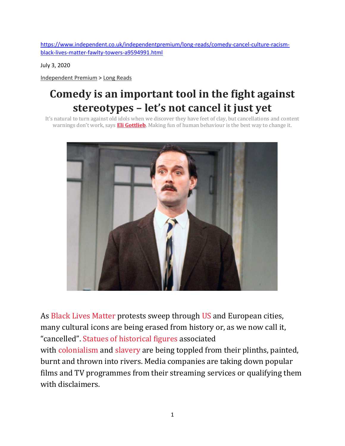[https://www.independent.co.uk/independentpremium/long-reads/comedy-cancel-culture-racism](https://www.independent.co.uk/independentpremium/long-reads/comedy-cancel-culture-racism-black-lives-matter-fawlty-towers-a9594991.html)[black-lives-matter-fawlty-towers-a9594991.html](https://www.independent.co.uk/independentpremium/long-reads/comedy-cancel-culture-racism-black-lives-matter-fawlty-towers-a9594991.html)

July 3, 2020

[Independent](https://www.independent.co.uk/independentpremium) Premium > Long [Reads](https://www.independent.co.uk/independentpremium/long-reads)

## **Comedy is an important tool in the fight against stereotypes – let's not cancel it just yet**

It's natural to turn against old idols when we discover they have feet of clay, but cancellations and content warnings don't work, says **Eli [Gottlieb](https://www.independent.co.uk/author/eli-gottlieb)**. Making fun of human behaviour is the best way to change it.



As Black Lives [Matter](https://www.independent.co.uk/topic/black-lives-matter) protests sweep through [US](https://www.independent.co.uk/false) and European cities, many cultural icons are being erased from history or, as we now call it, "cancelled". Statues of [historical](https://www.independent.co.uk/news/uk/home-news/colston-statue-bristol-museum-river-avon-history-a9559771.html) figures associated with [colonialism](https://www.independent.co.uk/topic/colonialism) and [slavery](https://www.independent.co.uk/topic/Slavery) are being toppled from their plinths, painted, burnt and thrown into rivers. Media companies are taking down popular films and TV programmes from their streaming services or qualifying them with disclaimers.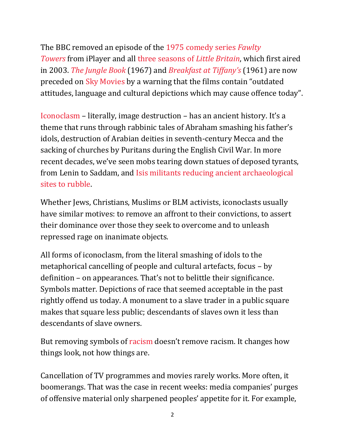The BBC removed an episode of the 1975 [comedy](https://www.independent.co.uk/arts-entertainment/tv/news/fawlty-towers-john-cleese-dont-mention-the-war-racism-black-lives-matter-a9562581.html) series *Fawlty [Towers](https://www.independent.co.uk/arts-entertainment/tv/news/fawlty-towers-john-cleese-dont-mention-the-war-racism-black-lives-matter-a9562581.html)* from iPlayer and all three [seasons](https://www.independent.co.uk/arts-entertainment/tv/news/little-britain-blackface-rebel-wilson-netflix-iplayer-britbox-matt-lucas-david-walliams-a9568301.html) of *Little Britain*, which first aired in 2003. *The [Jungle](https://www.independent.co.uk/topic/the-jungle-book) Book* (1967) and *[Breakfast](https://www.independent.co.uk/topic/breakfast-at-tiffany-s) at Tiffany's* (1961) are now preceded on Sky [Movies](https://www.independent.co.uk/topic/sky-movies) by a warning that the films contain "outdated attitudes, language and cultural depictions which may cause offence today".

[Iconoclasm](https://www.independent.co.uk/topic/iconoclasm) – literally, image destruction – has an ancient history. It's a theme that runs through rabbinic tales of Abraham smashing his father's idols, destruction of Arabian deities in seventh-century Mecca and the sacking of churches by Puritans during the English Civil War. In more recent decades, we've seen mobs tearing down statues of deposed tyrants, from Lenin to Saddam, and Isis militants reducing ancient [archaeological](https://www.independent.co.uk/news/world/middle-east/isis-mosul-iraq-army-terrorists-destroy-demolish-nimrud-temples-artefacts-a7418136.html) sites to [rubble.](https://www.independent.co.uk/news/world/middle-east/isis-mosul-iraq-army-terrorists-destroy-demolish-nimrud-temples-artefacts-a7418136.html)

Whether Jews, Christians, Muslims or BLM activists, iconoclasts usually have similar motives: to remove an affront to their convictions, to assert their dominance over those they seek to overcome and to unleash repressed rage on inanimate objects.

All forms of iconoclasm, from the literal smashing of idols to the metaphorical cancelling of people and cultural artefacts, focus – by definition – on appearances. That's not to belittle their significance. Symbols matter. Depictions of race that seemed acceptable in the past rightly offend us today. A monument to a slave trader in a public square makes that square less public; descendants of slaves own it less than descendants of slave owners.

But removing symbols of [racism](https://www.independent.co.uk/topic/racism) doesn't remove racism. It changes how things look, not how things are.

Cancellation of TV programmes and movies rarely works. More often, it boomerangs. That was the case in recent weeks: media companies' purges of offensive material only sharpened peoples' appetite for it. For example,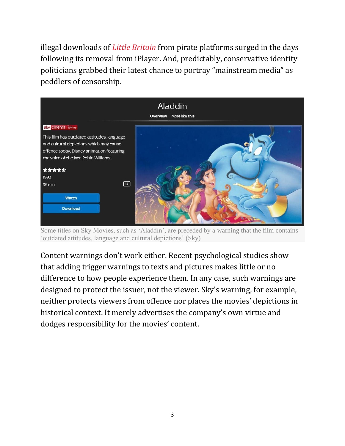illegal downloads of *Little [Britain](https://www.independent.co.uk/topic/little-britain)* from pirate platforms surged in the days following its removal from iPlayer. And, predictably, conservative identity politicians grabbed their latest chance to portray "mainstream media" as peddlers of censorship.



Some titles on Sky Movies, such as 'Aladdin', are preceded by a warning that the film contains 'outdated attitudes, language and cultural depictions' (Sky)

Content warnings don't work either. Recent psychological studies show that adding trigger warnings to texts and pictures makes little or no difference to how people experience them. In any case, such warnings are designed to protect the issuer, not the viewer. Sky's warning, for example, neither protects viewers from offence nor places the movies' depictions in historical context. It merely advertises the company's own virtue and dodges responsibility for the movies' content.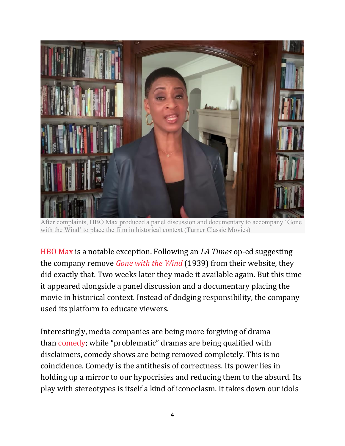

After complaints, HBO Max produced a panel discussion and documentary to accompany 'Gone with the Wind' to place the film in historical context (Turner Classic Movies)

[HBO](https://www.independent.co.uk/topic/hbo-max) Max is a notable exception. Following an *LA Times* op-ed suggesting the company remove *Gone with the [Wind](https://www.independent.co.uk/arts-entertainment/films/news/gone-with-the-wind-racist-hbo-max-trump-scarlett-o-hara-a9558531.html)* (1939) from their website, they did exactly that. Two weeks later they made it available again. But this time it appeared alongside a panel discussion and a documentary placing the movie in historical context. Instead of dodging responsibility, the company used its platform to educate viewers.

Interestingly, media companies are being more forgiving of drama than [comedy](https://www.independent.co.uk/topic/Comedy); while "problematic" dramas are being qualified with disclaimers, comedy shows are being removed completely. This is no coincidence. Comedy is the antithesis of correctness. Its power lies in holding up a mirror to our hypocrisies and reducing them to the absurd. Its play with stereotypes is itself a kind of iconoclasm. It takes down our idols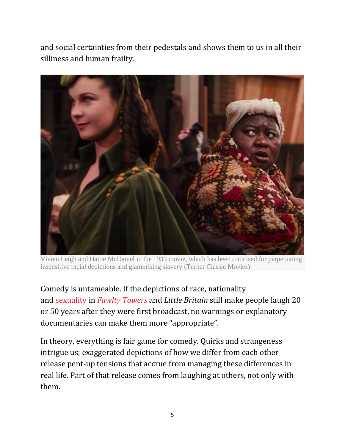and social certainties from their pedestals and shows them to us in all their silliness and human frailty.



Vivien Leigh and Hattie McDaniel in the 1939 movie, which has been criticised for perpetuating insensitive racial depictions and glamorising slavery (Turner Classic Movies)

Comedy is untameable. If the depictions of race, nationality and [sexuality](https://www.independent.co.uk/topic/sexuality) in *Fawlty [Towers](https://www.independent.co.uk/topic/FawltyTowers)* and *Little Britain* still make people laugh 20 or 50 years after they were first broadcast, no warnings or explanatory documentaries can make them more "appropriate".

In theory, everything is fair game for comedy. Quirks and strangeness intrigue us; exaggerated depictions of how we differ from each other release pent-up tensions that accrue from managing these differences in real life. Part of that release comes from laughing at others, not only with them.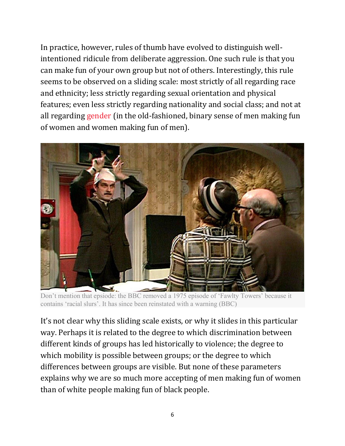In practice, however, rules of thumb have evolved to distinguish wellintentioned ridicule from deliberate aggression. One such rule is that you can make fun of your own group but not of others. Interestingly, this rule seems to be observed on a sliding scale: most strictly of all regarding race and ethnicity; less strictly regarding sexual orientation and physical features; even less strictly regarding nationality and social class; and not at all regarding [gender](https://www.independent.co.uk/topic/gender) (in the old-fashioned, binary sense of men making fun of women and women making fun of men).



Don't mention that epsiode: the BBC removed a 1975 episode of 'Fawlty Towers' because it contains 'racial slurs'. It has since been reinstated with a warning (BBC)

It's not clear why this sliding scale exists, or why it slides in this particular way. Perhaps it is related to the degree to which discrimination between different kinds of groups has led historically to violence; the degree to which mobility is possible between groups; or the degree to which differences between groups are visible. But none of these parameters explains why we are so much more accepting of men making fun of women than of white people making fun of black people.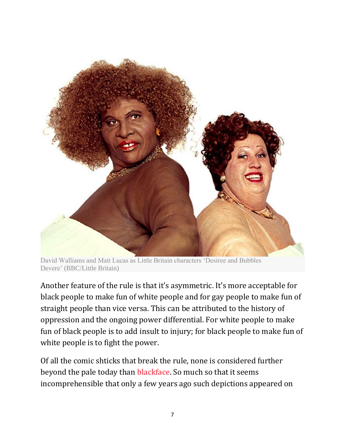

David Walliams and Matt Lucas as Little Britain characters 'Desiree and Bubbles Devere' (BBC/Little Britain)

Another feature of the rule is that it's asymmetric. It's more acceptable for black people to make fun of white people and for gay people to make fun of straight people than vice versa. This can be attributed to the history of oppression and the ongoing power differential. For white people to make fun of black people is to add insult to injury; for black people to make fun of white people is to fight the power.

Of all the comic shticks that break the rule, none is considered further beyond the pale today than [blackface.](https://www.independent.co.uk/topic/blackface) So much so that it seems incomprehensible that only a few years ago such depictions appeared on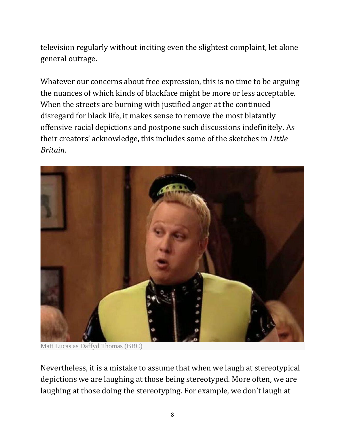television regularly without inciting even the slightest complaint, let alone general outrage.

Whatever our concerns about free expression, this is no time to be arguing the nuances of which kinds of blackface might be more or less acceptable. When the streets are burning with justified anger at the continued disregard for black life, it makes sense to remove the most blatantly offensive racial depictions and postpone such discussions indefinitely. As their creators' acknowledge, this includes some of the sketches in *Little Britain*.



Matt Lucas as Daffyd Thomas (BBC)

Nevertheless, it is a mistake to assume that when we laugh at stereotypical depictions we are laughing at those being stereotyped. More often, we are laughing at those doing the stereotyping. For example, we don't laugh at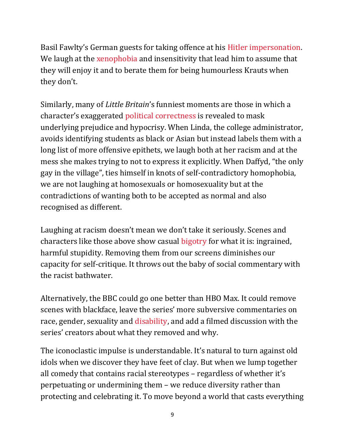Basil Fawlty's German guests for taking offence at his Hitler [impersonation.](https://www.independent.co.uk/voices/fawlty-towers-germans-television-racism-comedy-protests-a9563591.html) We laugh at the [xenophobia](https://www.independent.co.uk/topic/xenophobia) and insensitivity that lead him to assume that they will enjoy it and to berate them for being humourless Krauts when they don't.

Similarly, many of *Little Britain*'s funniest moments are those in which a character's exaggerated political [correctness](https://www.independent.co.uk/topic/political-correctness) is revealed to mask underlying prejudice and hypocrisy. When Linda, the college administrator, avoids identifying students as black or Asian but instead labels them with a long list of more offensive epithets, we laugh both at her racism and at the mess she makes trying to not to express it explicitly. When Daffyd, "the only gay in the village", ties himself in knots of self-contradictory homophobia, we are not laughing at homosexuals or homosexuality but at the contradictions of wanting both to be accepted as normal and also recognised as different.

Laughing at racism doesn't mean we don't take it seriously. Scenes and characters like those above show casual [bigotry](https://www.independent.co.uk/topic/bigotry) for what it is: ingrained, harmful stupidity. Removing them from our screens diminishes our capacity for self-critique. It throws out the baby of social commentary with the racist bathwater.

Alternatively, the BBC could go one better than HBO Max. It could remove scenes with blackface, leave the series' more subversive commentaries on race, gender, sexuality and [disability,](https://www.independent.co.uk/topic/Disability) and add a filmed discussion with the series' creators about what they removed and why.

The iconoclastic impulse is understandable. It's natural to turn against old idols when we discover they have feet of clay. But when we lump together all comedy that contains racial stereotypes – regardless of whether it's perpetuating or undermining them – we reduce diversity rather than protecting and celebrating it. To move beyond a world that casts everything